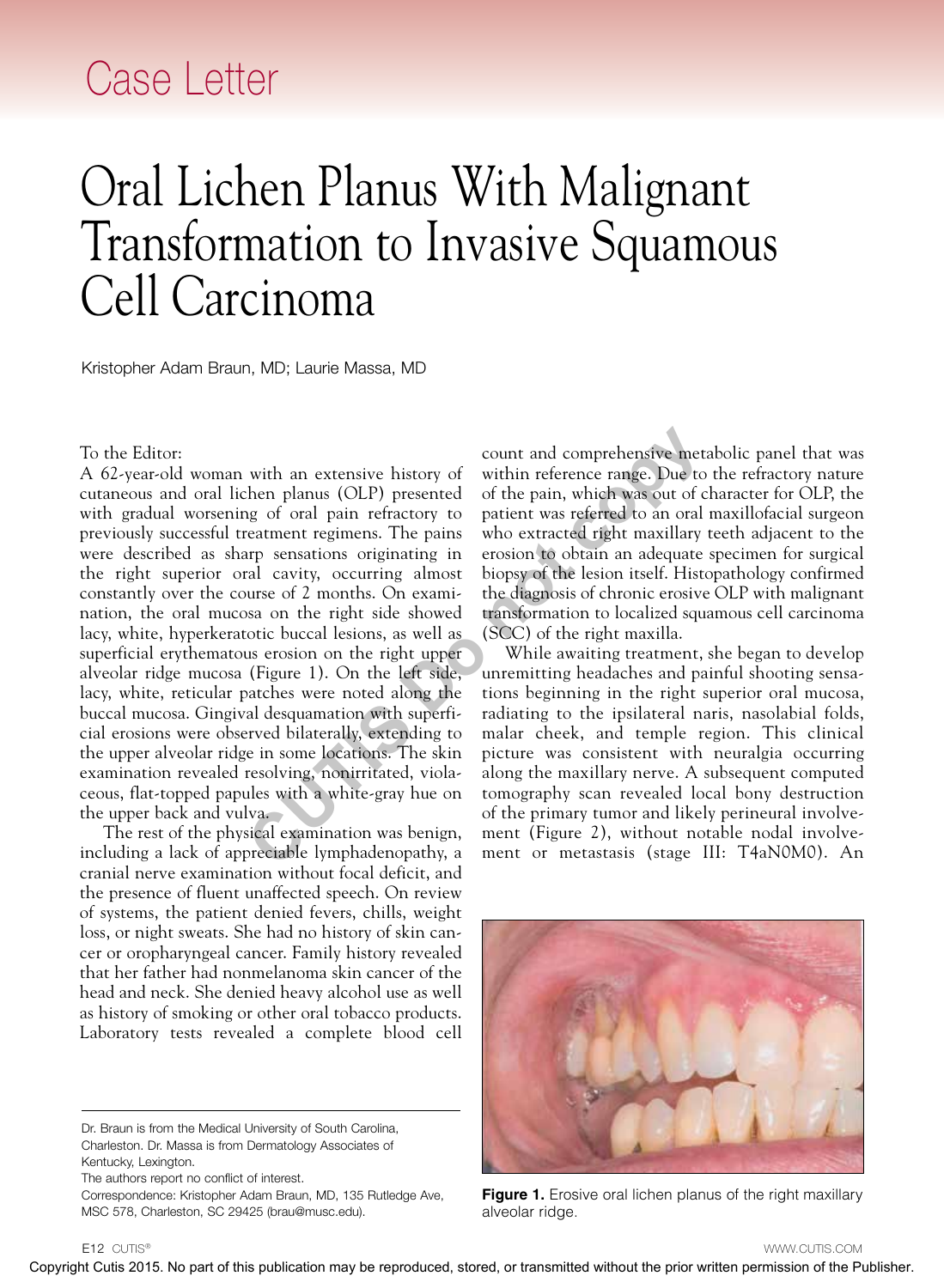## Case Letter

## Oral Lichen Planus With Malignant Transformation to Invasive Squamous Cell Carcinoma

Kristopher Adam Braun, MD; Laurie Massa, MD

## To the Editor:

A 62-year-old woman with an extensive history of cutaneous and oral lichen planus (OLP) presented with gradual worsening of oral pain refractory to previously successful treatment regimens. The pains were described as sharp sensations originating in the right superior oral cavity, occurring almost constantly over the course of 2 months. On examination, the oral mucosa on the right side showed lacy, white, hyperkeratotic buccal lesions, as well as superficial erythematous erosion on the right upper alveolar ridge mucosa (Figure 1). On the left side, lacy, white, reticular patches were noted along the buccal mucosa. Gingival desquamation with superficial erosions were observed bilaterally, extending to the upper alveolar ridge in some locations. The skin examination revealed resolving, nonirritated, violaceous, flat-topped papules with a white-gray hue on the upper back and vulva. To the Editors<br>
A Copyright Cutis 2015. No part of the CUC III is the compact of the cuties contained with the cuties of the compact of the cuties or the cuties of the cuties of the cuties of the publication may be repres

The rest of the physical examination was benign, including a lack of appreciable lymphadenopathy, a cranial nerve examination without focal deficit, and the presence of fluent unaffected speech. On review of systems, the patient denied fevers, chills, weight loss, or night sweats. She had no history of skin cancer or oropharyngeal cancer. Family history revealed that her father had nonmelanoma skin cancer of the head and neck. She denied heavy alcohol use as well as history of smoking or other oral tobacco products. Laboratory tests revealed a complete blood cell

Dr. Braun is from the Medical University of South Carolina, Charleston. Dr. Massa is from Dermatology Associates of Kentucky, Lexington.

The authors report no conflict of interest.

Correspondence: Kristopher Adam Braun, MD, 135 Rutledge Ave, MSC 578, Charleston, SC 29425 (brau@musc.edu).

count and comprehensive metabolic panel that was within reference range. Due to the refractory nature of the pain, which was out of character for OLP, the patient was referred to an oral maxillofacial surgeon who extracted right maxillary teeth adjacent to the erosion to obtain an adequate specimen for surgical biopsy of the lesion itself. Histopathology confirmed the diagnosis of chronic erosive OLP with malignant transformation to localized squamous cell carcinoma (SCC) of the right maxilla.

While awaiting treatment, she began to develop unremitting headaches and painful shooting sensations beginning in the right superior oral mucosa, radiating to the ipsilateral naris, nasolabial folds, malar cheek, and temple region. This clinical picture was consistent with neuralgia occurring along the maxillary nerve. A subsequent computed tomography scan revealed local bony destruction of the primary tumor and likely perineural involvement (Figure 2), without notable nodal involvement or metastasis (stage III: T4aN0M0). An



**Figure 1.** Erosive oral lichen planus of the right maxillary alveolar ridge.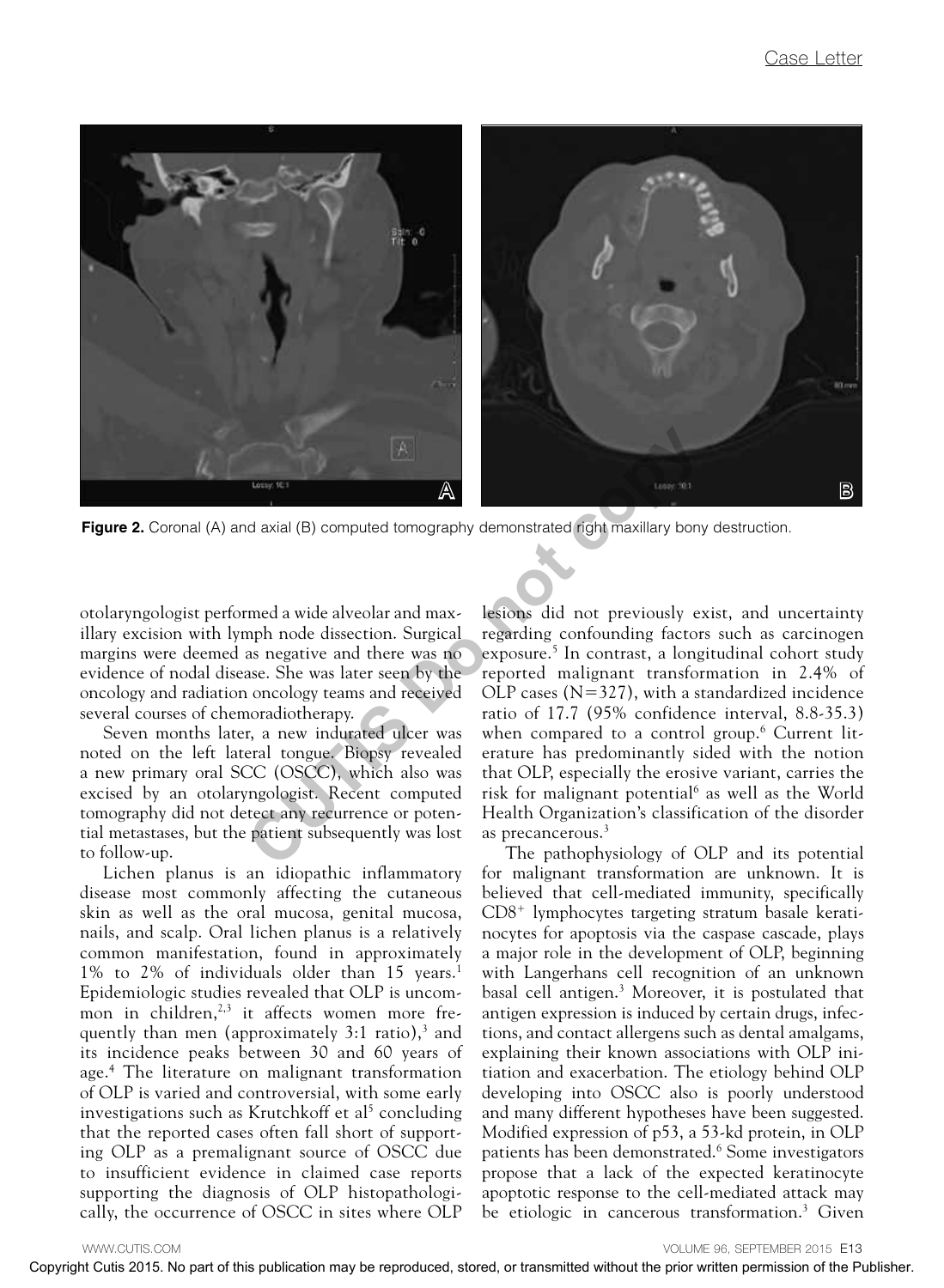

Figure 2. Coronal (A) and axial (B) computed tomography demonstrated right maxillary bony destruction.

otolaryngologist performed a wide alveolar and maxillary excision with lymph node dissection. Surgical margins were deemed as negative and there was no evidence of nodal disease. She was later seen by the oncology and radiation oncology teams and received several courses of chemoradiotherapy.

Seven months later, a new indurated ulcer was noted on the left lateral tongue. Biopsy revealed a new primary oral SCC (OSCC), which also was excised by an otolaryngologist. Recent computed tomography did not detect any recurrence or potential metastases, but the patient subsequently was lost to follow-up.

Lichen planus is an idiopathic inflammatory disease most commonly affecting the cutaneous skin as well as the oral mucosa, genital mucosa, nails, and scalp. Oral lichen planus is a relatively common manifestation, found in approximately 1% to 2% of individuals older than 15 years.<sup>1</sup> Epidemiologic studies revealed that OLP is uncommon in children, $2,3$  it affects women more frequently than men (approximately  $3:1$  ratio),<sup>3</sup> and its incidence peaks between 30 and 60 years of age.4 The literature on malignant transformation of OLP is varied and controversial, with some early investigations such as Krutchkoff et al<sup>5</sup> concluding that the reported cases often fall short of supporting OLP as a premalignant source of OSCC due to insufficient evidence in claimed case reports supporting the diagnosis of OLP histopathologically, the occurrence of OSCC in sites where OLP

lesions did not previously exist, and uncertainty regarding confounding factors such as carcinogen exposure.<sup>5</sup> In contrast, a longitudinal cohort study reported malignant transformation in 2.4% of OLP cases  $(N=327)$ , with a standardized incidence ratio of 17.7 (95% confidence interval, 8.8-35.3) when compared to a control group.6 Current literature has predominantly sided with the notion that OLP, especially the erosive variant, carries the risk for malignant potential<sup>6</sup> as well as the World Health Organization's classification of the disorder as precancerous.<sup>3</sup>

The pathophysiology of OLP and its potential for malignant transformation are unknown. It is believed that cell-mediated immunity, specifically CD8+ lymphocytes targeting stratum basale keratinocytes for apoptosis via the caspase cascade, plays a major role in the development of OLP, beginning with Langerhans cell recognition of an unknown basal cell antigen.3 Moreover, it is postulated that antigen expression is induced by certain drugs, infections, and contact allergens such as dental amalgams, explaining their known associations with OLP initiation and exacerbation. The etiology behind OLP developing into OSCC also is poorly understood and many different hypotheses have been suggested. Modified expression of p53, a 53-kd protein, in OLP patients has been demonstrated.<sup>6</sup> Some investigators propose that a lack of the expected keratinocyte apoptotic response to the cell-mediated attack may be etiologic in cancerous transformation.<sup>3</sup> Given **Figure 2.** Coronal (A) and cost of the control distribution may be reproduced to the control or transmitted with the produced with the product control be reproduced, and the product control and control or transmitted wit

VOLUME 96, SEPTEMBER 2015 E13